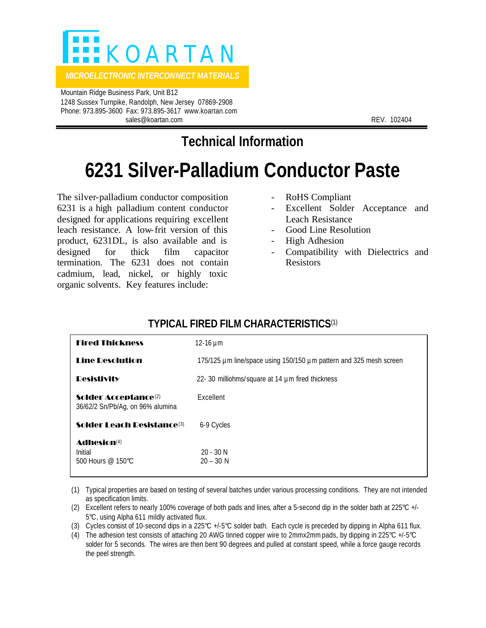

 Mountain Ridge Business Park, Unit B12 1248 Sussex Turnpike, Randolph, New Jersey 07869-2908 Phone: 973.895-3600 Fax: 973.895-3617 www.koartan.com sales@koartan.com **REV. 102404** 

# **Technical Information**

# **6231 Silver-Palladium Conductor Paste**

The silver-palladium conductor composition 6231 is a high palladium content conductor designed for applications requiring excellent leach resistance. A low-frit version of this product, 6231DL, is also available and is designed for thick film capacitor termination. The 6231 does not contain cadmium, lead, nickel, or highly toxic organic solvents. Key features include:

- RoHS Compliant
- Excellent Solder Acceptance and Leach Resistance
- Good Line Resolution
- High Adhesion
- Compatibility with Dielectrics and Resistors

## **TYPICAL FIRED FILM CHARACTERISTICS**(1)

| <b>Fired Thickness</b>                                               | 12-16 $\mu$ m                                                      |
|----------------------------------------------------------------------|--------------------------------------------------------------------|
| <b>Line Desolution</b>                                               | 175/125 µm line/space using 150/150 µm pattern and 325 mesh screen |
| <b>Desistivity</b>                                                   | 22-30 milliohms/square at 14 µm fired thickness                    |
| Solder Acceptance <sup>(2)</sup><br>36/62/2 Sn/Pb/Ag, on 96% alumina | Excellent                                                          |
| Solder I each Desistance <sup>(3)</sup>                              | 6-9 Cycles                                                         |
| Adhesion <sup>(4)</sup><br>Initial<br>500 Hours $@$ 150°C.           | $20 - 30$ N<br>$20 - 30 N$                                         |

(1) Typical properties are based on testing of several batches under various processing conditions. They are not intended as specification limits.

- (2) Excellent refers to nearly 100% coverage of both pads and lines, after a 5-second dip in the solder bath at 225°C +/- 5°C, using Alpha 611 mildly activated flux.
- (3) Cycles consist of 10-second dips in a 225°C +/-5°C solder bath. Each cycle is preceded by dipping in Alpha 611 flux.
- (4) The adhesion test consists of attaching 20 AWG tinned copper wire to 2mmx2mm pads, by dipping in 225°C +/-5°C solder for 5 seconds. The wires are then bent 90 degrees and pulled at constant speed, while a force gauge records the peel strength.